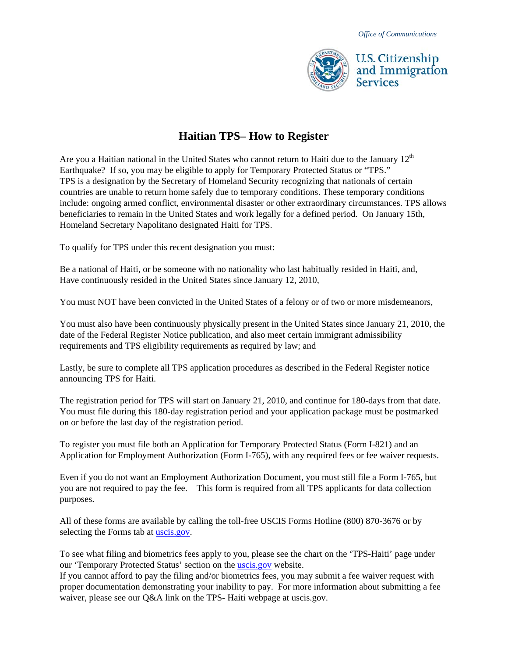

## **Haitian TPS– How to Register**

Are you a Haitian national in the United States who cannot return to Haiti due to the January  $12<sup>th</sup>$ Earthquake? If so, you may be eligible to apply for Temporary Protected Status or "TPS." TPS is a designation by the Secretary of Homeland Security recognizing that nationals of certain countries are unable to return home safely due to temporary conditions. These temporary conditions include: ongoing armed conflict, environmental disaster or other extraordinary circumstances. TPS allows beneficiaries to remain in the United States and work legally for a defined period. On January 15th, Homeland Secretary Napolitano designated Haiti for TPS.

To qualify for TPS under this recent designation you must:

Be a national of Haiti, or be someone with no nationality who last habitually resided in Haiti, and, Have continuously resided in the United States since January 12, 2010,

You must NOT have been convicted in the United States of a felony or of two or more misdemeanors,

You must also have been continuously physically present in the United States since January 21, 2010, the date of the Federal Register Notice publication, and also meet certain immigrant admissibility requirements and TPS eligibility requirements as required by law; and

Lastly, be sure to complete all TPS application procedures as described in the Federal Register notice announcing TPS for Haiti.

The registration period for TPS will start on January 21, 2010, and continue for 180-days from that date. You must file during this 180-day registration period and your application package must be postmarked on or before the last day of the registration period.

To register you must file both an Application for Temporary Protected Status (Form I-821) and an Application for Employment Authorization (Form I-765), with any required fees or fee waiver requests.

Even if you do not want an Employment Authorization Document, you must still file a Form I-765, but you are not required to pay the fee. This form is required from all TPS applicants for data collection purposes.

All of these forms are available by calling the toll-free USCIS Forms Hotline (800) 870-3676 or by selecting the Forms tab at [uscis.gov.](http://www.uscis.gov/)

To see what filing and biometrics fees apply to you, please see the chart on the 'TPS-Haiti' page under our 'Temporary Protected Status' section on the [uscis.gov](http://www.uscis.gov/) website.

If you cannot afford to pay the filing and/or biometrics fees, you may submit a fee waiver request with proper documentation demonstrating your inability to pay. For more information about submitting a fee waiver, please see our Q&A link on the TPS- Haiti webpage at uscis.gov.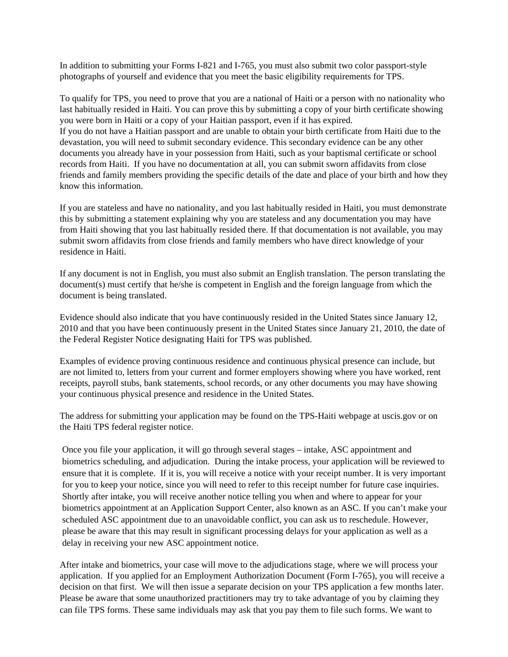In addition to submitting your Forms I-821 and I-765, you must also submit two color passport-style photographs of yourself and evidence that you meet the basic eligibility requirements for TPS.

To qualify for TPS, you need to prove that you are a national of Haiti or a person with no nationality who last habitually resided in Haiti. You can prove this by submitting a copy of your birth certificate showing you were born in Haiti or a copy of your Haitian passport, even if it has expired. If you do not have a Haitian passport and are unable to obtain your birth certificate from Haiti due to the devastation, you will need to submit secondary evidence. This secondary evidence can be any other documents you already have in your possession from Haiti, such as your baptismal certificate or school records from Haiti. If you have no documentation at all, you can submit sworn affidavits from close friends and family members providing the specific details of the date and place of your birth and how they know this information.

If you are stateless and have no nationality, and you last habitually resided in Haiti, you must demonstrate this by submitting a statement explaining why you are stateless and any documentation you may have from Haiti showing that you last habitually resided there. If that documentation is not available, you may submit sworn affidavits from close friends and family members who have direct knowledge of your residence in Haiti.

If any document is not in English, you must also submit an English translation. The person translating the document(s) must certify that he/she is competent in English and the foreign language from which the document is being translated.

Evidence should also indicate that you have continuously resided in the United States since January 12, 2010 and that you have been continuously present in the United States since January 21, 2010, the date of the Federal Register Notice designating Haiti for TPS was published.

Examples of evidence proving continuous residence and continuous physical presence can include, but are not limited to, letters from your current and former employers showing where you have worked, rent receipts, payroll stubs, bank statements, school records, or any other documents you may have showing your continuous physical presence and residence in the United States.

The address for submitting your application may be found on the TPS-Haiti webpage at uscis.gov or on the Haiti TPS federal register notice.

Once you file your application, it will go through several stages – intake, ASC appointment and biometrics scheduling, and adjudication. During the intake process, your application will be reviewed to ensure that it is complete. If it is, you will receive a notice with your receipt number. It is very important for you to keep your notice, since you will need to refer to this receipt number for future case inquiries. Shortly after intake, you will receive another notice telling you when and where to appear for your biometrics appointment at an Application Support Center, also known as an ASC. If you can't make your scheduled ASC appointment due to an unavoidable conflict, you can ask us to reschedule. However, please be aware that this may result in significant processing delays for your application as well as a delay in receiving your new ASC appointment notice.

After intake and biometrics, your case will move to the adjudications stage, where we will process your application. If you applied for an Employment Authorization Document (Form I-765), you will receive a decision on that first. We will then issue a separate decision on your TPS application a few months later. Please be aware that some unauthorized practitioners may try to take advantage of you by claiming they can file TPS forms. These same individuals may ask that you pay them to file such forms. We want to